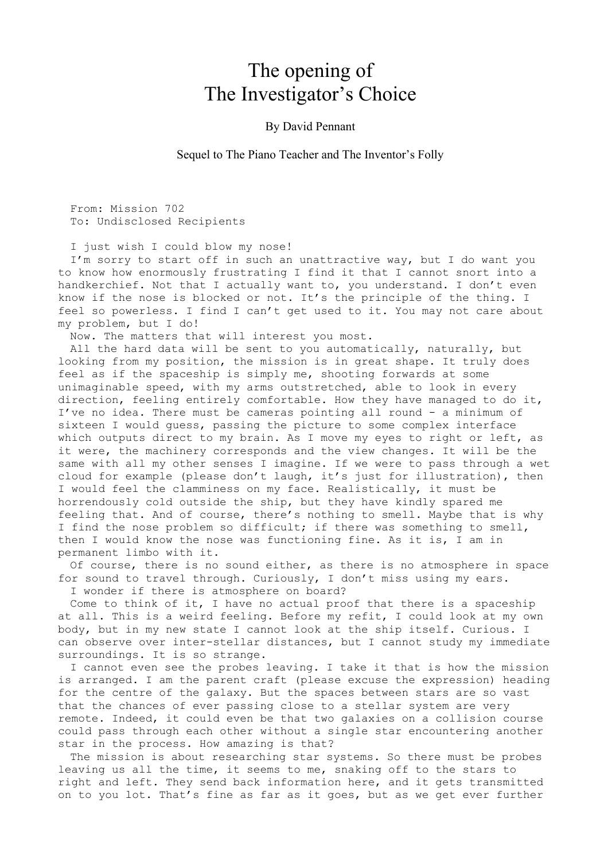## The opening of The Investigator's Choice

## By David Pennant

Sequel to The Piano Teacher and The Inventor's Folly

From: Mission 702 To: Undisclosed Recipients

I just wish I could blow my nose!

I'm sorry to start off in such an unattractive way, but I do want you to know how enormously frustrating I find it that I cannot snort into a handkerchief. Not that I actually want to, you understand. I don't even know if the nose is blocked or not. It's the principle of the thing. I feel so powerless. I find I can't get used to it. You may not care about my problem, but I do!

Now. The matters that will interest you most.

All the hard data will be sent to you automatically, naturally, but looking from my position, the mission is in great shape. It truly does feel as if the spaceship is simply me, shooting forwards at some unimaginable speed, with my arms outstretched, able to look in every direction, feeling entirely comfortable. How they have managed to do it, I've no idea. There must be cameras pointing all round - a minimum of sixteen I would guess, passing the picture to some complex interface which outputs direct to my brain. As I move my eyes to right or left, as it were, the machinery corresponds and the view changes. It will be the same with all my other senses I imagine. If we were to pass through a wet cloud for example (please don't laugh, it's just for illustration), then I would feel the clamminess on my face. Realistically, it must be horrendously cold outside the ship, but they have kindly spared me feeling that. And of course, there's nothing to smell. Maybe that is why I find the nose problem so difficult; if there was something to smell, then I would know the nose was functioning fine. As it is, I am in permanent limbo with it.

Of course, there is no sound either, as there is no atmosphere in space for sound to travel through. Curiously, I don't miss using my ears.

I wonder if there is atmosphere on board?

Come to think of it, I have no actual proof that there is a spaceship at all. This is a weird feeling. Before my refit, I could look at my own body, but in my new state I cannot look at the ship itself. Curious. I can observe over inter-stellar distances, but I cannot study my immediate surroundings. It is so strange.

I cannot even see the probes leaving. I take it that is how the mission is arranged. I am the parent craft (please excuse the expression) heading for the centre of the galaxy. But the spaces between stars are so vast that the chances of ever passing close to a stellar system are very remote. Indeed, it could even be that two galaxies on a collision course could pass through each other without a single star encountering another star in the process. How amazing is that?

The mission is about researching star systems. So there must be probes leaving us all the time, it seems to me, snaking off to the stars to right and left. They send back information here, and it gets transmitted on to you lot. That's fine as far as it goes, but as we get ever further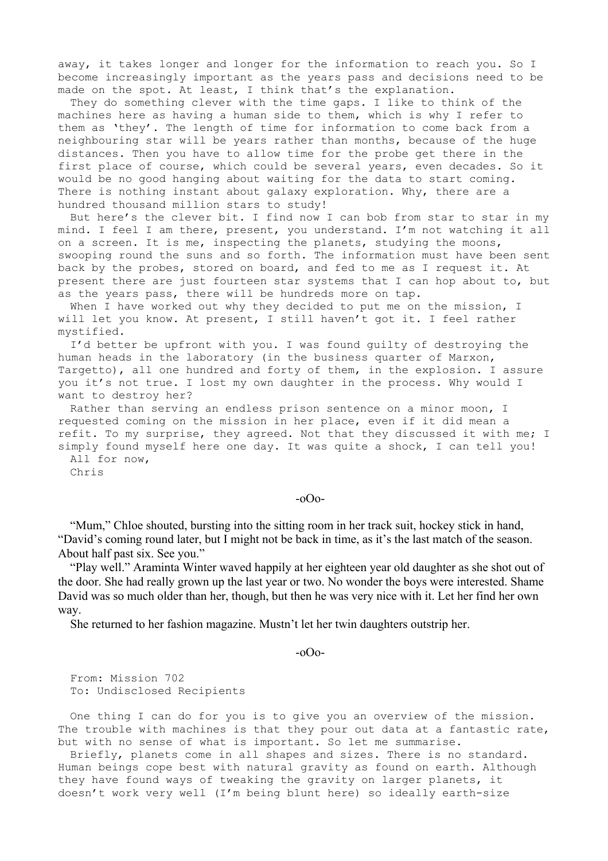away, it takes longer and longer for the information to reach you. So I become increasingly important as the years pass and decisions need to be made on the spot. At least, I think that's the explanation.

They do something clever with the time gaps. I like to think of the machines here as having a human side to them, which is why I refer to them as 'they'. The length of time for information to come back from a neighbouring star will be years rather than months, because of the huge distances. Then you have to allow time for the probe get there in the first place of course, which could be several years, even decades. So it would be no good hanging about waiting for the data to start coming. There is nothing instant about galaxy exploration. Why, there are a hundred thousand million stars to study!

But here's the clever bit. I find now I can bob from star to star in my mind. I feel I am there, present, you understand. I'm not watching it all on a screen. It is me, inspecting the planets, studying the moons, swooping round the suns and so forth. The information must have been sent back by the probes, stored on board, and fed to me as I request it. At present there are just fourteen star systems that I can hop about to, but as the years pass, there will be hundreds more on tap.

When I have worked out why they decided to put me on the mission, I will let you know. At present, I still haven't got it. I feel rather mystified.

I'd better be upfront with you. I was found guilty of destroying the human heads in the laboratory (in the business quarter of Marxon, Targetto), all one hundred and forty of them, in the explosion. I assure you it's not true. I lost my own daughter in the process. Why would I want to destroy her?

Rather than serving an endless prison sentence on a minor moon, I requested coming on the mission in her place, even if it did mean a refit. To my surprise, they agreed. Not that they discussed it with me; I simply found myself here one day. It was quite a shock, I can tell you! All for now,

Chris

-oOo-

"Mum," Chloe shouted, bursting into the sitting room in her track suit, hockey stick in hand, "David's coming round later, but I might not be back in time, as it's the last match of the season. About half past six. See you."

"Play well." Araminta Winter waved happily at her eighteen year old daughter as she shot out of the door. She had really grown up the last year or two. No wonder the boys were interested. Shame David was so much older than her, though, but then he was very nice with it. Let her find her own way.

She returned to her fashion magazine. Mustn't let her twin daughters outstrip her.

 $-0$ Oo-

From: Mission 702 To: Undisclosed Recipients

One thing I can do for you is to give you an overview of the mission. The trouble with machines is that they pour out data at a fantastic rate, but with no sense of what is important. So let me summarise.

Briefly, planets come in all shapes and sizes. There is no standard. Human beings cope best with natural gravity as found on earth. Although they have found ways of tweaking the gravity on larger planets, it doesn't work very well (I'm being blunt here) so ideally earth-size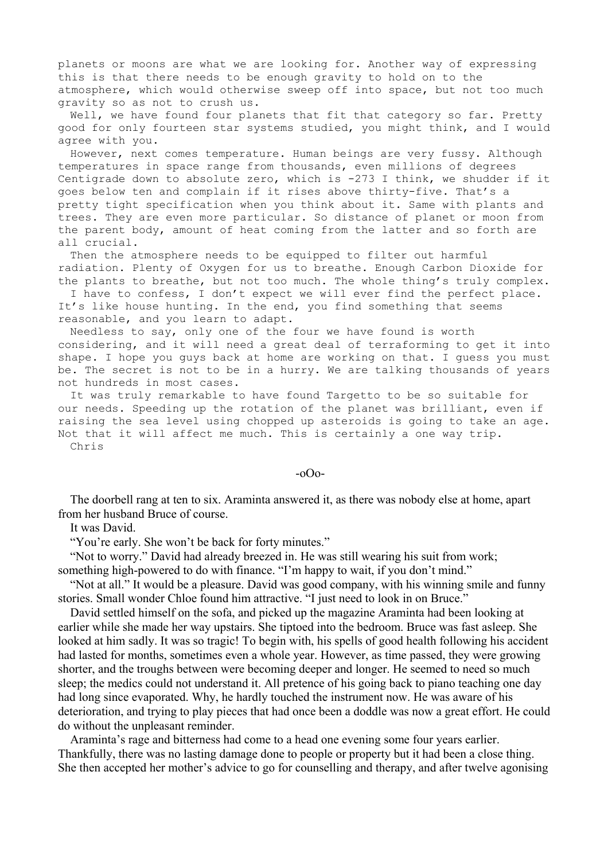planets or moons are what we are looking for. Another way of expressing this is that there needs to be enough gravity to hold on to the atmosphere, which would otherwise sweep off into space, but not too much gravity so as not to crush us.

Well, we have found four planets that fit that category so far. Pretty good for only fourteen star systems studied, you might think, and I would agree with you.

However, next comes temperature. Human beings are very fussy. Although temperatures in space range from thousands, even millions of degrees Centigrade down to absolute zero, which is -273 I think, we shudder if it goes below ten and complain if it rises above thirty-five. That's a pretty tight specification when you think about it. Same with plants and trees. They are even more particular. So distance of planet or moon from the parent body, amount of heat coming from the latter and so forth are all crucial.

Then the atmosphere needs to be equipped to filter out harmful radiation. Plenty of Oxygen for us to breathe. Enough Carbon Dioxide for the plants to breathe, but not too much. The whole thing's truly complex.

I have to confess, I don't expect we will ever find the perfect place. It's like house hunting. In the end, you find something that seems reasonable, and you learn to adapt.

Needless to say, only one of the four we have found is worth considering, and it will need a great deal of terraforming to get it into shape. I hope you guys back at home are working on that. I guess you must be. The secret is not to be in a hurry. We are talking thousands of years not hundreds in most cases.

It was truly remarkable to have found Targetto to be so suitable for our needs. Speeding up the rotation of the planet was brilliant, even if raising the sea level using chopped up asteroids is going to take an age. Not that it will affect me much. This is certainly a one way trip. Chris

## -oOo-

The doorbell rang at ten to six. Araminta answered it, as there was nobody else at home, apart from her husband Bruce of course.

It was David.

"You're early. She won't be back for forty minutes."

"Not to worry." David had already breezed in. He was still wearing his suit from work; something high-powered to do with finance. "I'm happy to wait, if you don't mind."

"Not at all." It would be a pleasure. David was good company, with his winning smile and funny stories. Small wonder Chloe found him attractive. "I just need to look in on Bruce."

David settled himself on the sofa, and picked up the magazine Araminta had been looking at earlier while she made her way upstairs. She tiptoed into the bedroom. Bruce was fast asleep. She looked at him sadly. It was so tragic! To begin with, his spells of good health following his accident had lasted for months, sometimes even a whole year. However, as time passed, they were growing shorter, and the troughs between were becoming deeper and longer. He seemed to need so much sleep; the medics could not understand it. All pretence of his going back to piano teaching one day had long since evaporated. Why, he hardly touched the instrument now. He was aware of his deterioration, and trying to play pieces that had once been a doddle was now a great effort. He could do without the unpleasant reminder.

Araminta's rage and bitterness had come to a head one evening some four years earlier. Thankfully, there was no lasting damage done to people or property but it had been a close thing. She then accepted her mother's advice to go for counselling and therapy, and after twelve agonising